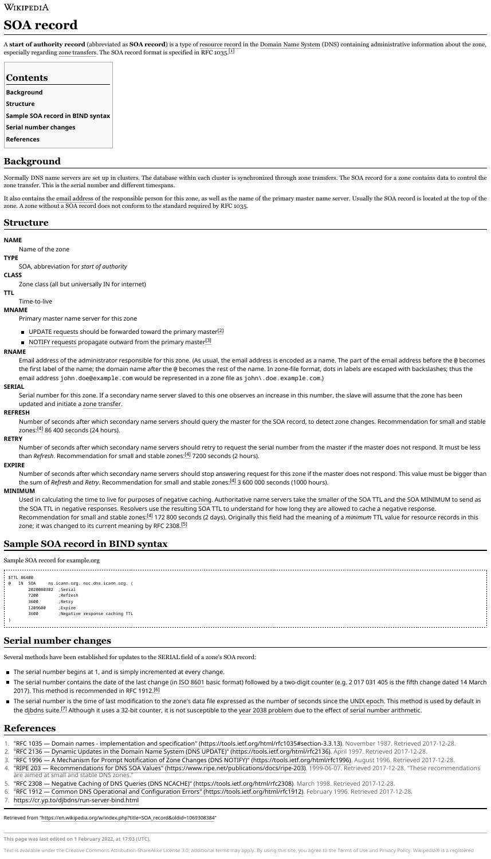# WIKIPEDIA

# **SOA record**

A **start of authority record** (abbreviated as **SOA record**) is a type of [resource](https://en.wikipedia.org/wiki/Resource_record) record in the [Domain](https://en.wikipedia.org/wiki/Domain_Name_System) Name System (DNS) containing administrative information about the zone, especially regarding zone [transfers.](https://en.wikipedia.org/wiki/DNS_zone_transfer) The SOA record format is specified in RFC 1035.<sup>[\[1\]](https://en.wikipedia.org/wiki/SOA_record#cite_note-RFC_1035-1)</sup>

Normally DNS name servers are set up in clusters. The database within each cluster is synchronized through zone transfers. The SOA record for a zone contains data to control the zone transfer. This is the serial number and different timespans.

It also contains the email [address](https://en.wikipedia.org/wiki/Email_address) of the responsible person for this zone, as well as the name of the primary master name server. Usually the SOA record is located at the top of the zone. A zone without a SOA record does not conform to the standard required by RFC 1035.

#### **NAME**

Name of the zone

#### **TYPE**

Number of seconds after which secondary name servers should query the master for the SOA record, to detect zone changes. Recommendation for small and stable zones:<u><sup>[\[4\]](https://en.wikipedia.org/wiki/SOA_record#cite_note-RIPE_203-4)</sup></u> 86 400 seconds (24 hours).

SOA, abbreviation for *start of authority*

### **CLASS**

Zone class (all but universally IN for internet)

### **TTL**

Time-to-live

### **MNAME**

Primary master name server for this zone

- UPDATE [requests](https://en.wikipedia.org/wiki/Dynamic_DNS) should be forwarded toward the primary master<sup>[\[2\]](https://en.wikipedia.org/wiki/SOA_record#cite_note-RFC_2136-2)</sup>
- NOTIFY [requests](https://en.wikipedia.org/wiki/Dynamic_DNS) propagate outward from the primary master<sup>[\[3\]](https://en.wikipedia.org/wiki/SOA_record#cite_note-RFC_1996-3)</sup>

#### **RNAME**

Used in calculating the [time](https://en.wikipedia.org/wiki/Time_to_live#DNS_records) to live for purposes of [negative](https://en.wikipedia.org/wiki/Negative_caching) caching. Authoritative name servers take the smaller of the SOA TTL and the SOA MINIMUM to send as the SOA TTL in negative responses. Resolvers use the resulting SOA TTL to understand for how long they are allowed to cache a negative response. Recommendation for small and stable zones:<u><sup>[\[4\]](https://en.wikipedia.org/wiki/SOA_record#cite_note-RIPE_203-4)</sup></u> 172 800 seconds (2 days). Originally this field had the meaning of a *minimum* TTL value for resource records in this zone; it was changed to its current meaning by RFC 2308.<sup>[\[5\]](https://en.wikipedia.org/wiki/SOA_record#cite_note-RFC_2308-5)</sup>

Email address of the administrator responsible for this zone. (As usual, the email address is encoded as a name. The part of the email address before the @ becomes the first label of the name; the domain name after the @ becomes the rest of the name. In zone-file format, dots in labels are escaped with backslashes; thus the email address john.doe@example.com would be represented in a zone file as john\.doe.example.com.)

#### **SERIAL**

Serial number for this zone. If a secondary name server slaved to this one observes an increase in this number, the slave will assume that the zone has been updated and initiate a zone [transfer.](https://en.wikipedia.org/wiki/DNS_zone_transfer)

#### **REFRESH**

#### **RETRY**

Number of seconds after which secondary name servers should retry to request the serial number from the master if the master does not respond. It must be less than *Refresh*. Recommendation for small and stable zones: [\[4\]](https://en.wikipedia.org/wiki/SOA_record#cite_note-RIPE_203-4) 7200 seconds (2 hours).

#### **EXPIRE**

Number of seconds after which secondary name servers should stop answering request for this zone if the master does not respond. This value must be bigger than the sum of *Refresh* and *Retry*. Recommendation for small and stable zones: [\[4\]](https://en.wikipedia.org/wiki/SOA_record#cite_note-RIPE_203-4) 3 600 000 seconds (1000 hours).

#### **MINIMUM**

| <b>Contents</b>                  |
|----------------------------------|
| <b>Background</b>                |
| <b>Structure</b>                 |
| Sample SOA record in BIND syntax |
| Serial number changes            |
| <b>References</b>                |

#### Sample SOA record for example.org

\$TTL 86400 @ IN SOA ns.icann.org. noc.dns.icann.org. ( 2020080302 ;Serial 7200 ;Refresh 3600 ;Retry 1209600 ;Expire 3600 ;Negative response caching TTL )

Several methods have been established for updates to the SERIAL field of a zone's SOA record:

- The serial number begins at 1, and is simply incremented at every change.
- The serial number contains the date of the last change (in ISO [8601](https://en.wikipedia.org/wiki/ISO_8601) basic format) followed by a two-digit counter (e.g. 2 017 031 405 is the fifth change dated 14 March 2017). This method is recommended in RFC 1912.<sup>[\[6\]](https://en.wikipedia.org/wiki/SOA_record#cite_note-RFC_1912-6)</sup>
- The serial number is the time of last modification to the zone's data file expressed as the number of seconds since the UNIX [epoch](https://en.wikipedia.org/wiki/Unix_time). This method is used by default in the [djbdns](https://en.wikipedia.org/wiki/Djbdns) suite.<sup>[\[7\]](https://en.wikipedia.org/wiki/SOA_record#cite_note-7)</sup> Although it uses a 32-bit counter, it is not susceptible to the year 2038 [problem](https://en.wikipedia.org/wiki/Year_2038_problem) due to the effect of serial number [arithmetic](https://en.wikipedia.org/wiki/Serial_number_arithmetic).

- 1. "RFC 1035 Domain names implementation and specification" [\(https://tools.ietf.org/html/rfc1035#section-3.3.13\)](https://tools.ietf.org/html/rfc1035#section-3.3.13). November 1987. Retrieved 2017-12-28.
- 2. "RFC 2136 Dynamic Updates in the Domain Name System (DNS UPDATE)" [\(https://tools.ietf.org/html/rfc2136\)](https://tools.ietf.org/html/rfc2136). April 1997. Retrieved 2017-12-28.
- 3. "RFC 1996 A Mechanism for Prompt Notification of Zone Changes (DNS NOTIFY)" [\(https://tools.ietf.org/html/rfc1996\)](https://tools.ietf.org/html/rfc1996). August 1996. Retrieved 2017-12-28.
- 4. "RIPE 203 Recommendations for DNS SOA Values" [\(https://www.ripe.net/publications/docs/ripe-203\)](https://www.ripe.net/publications/docs/ripe-203). 1999-06-07. Retrieved 2017-12-28. "These recommendations are aimed at small and stable DNS zones."
- 5. "RFC 2308 Negative Caching of DNS Queries (DNS NCACHE)" [\(https://tools.ietf.org/html/rfc2308\)](https://tools.ietf.org/html/rfc2308). March 1998. Retrieved 2017-12-28.
- 6. "RFC 1912 Common DNS Operational and Configuration Errors" [\(https://tools.ietf.org/html/rfc1912\)](https://tools.ietf.org/html/rfc1912). February 1996. Retrieved 2017-12-28.
- 7. <https://cr.yp.to/djbdns/run-server-bind.html>

Retrieved from ["https://en.wikipedia.org/w/index.php?title=SOA\\_record&oldid=1069308384"](https://en.wikipedia.org/w/index.php?title=SOA_record&oldid=1069308384)

**This page was last edited on 1 February 2022, at 17:03 (UTC).**

Text is available under the Creative Commons [Attribution-ShareAlike](https://en.wikipedia.org/wiki/Wikipedia:Text_of_Creative_Commons_Attribution-ShareAlike_3.0_Unported_License) License 3.0; additional terms may apply. By using this site, you agree to the [Terms](https://foundation.wikimedia.org/wiki/Terms_of_Use) of Use and [Privacy](https://foundation.wikimedia.org/wiki/Privacy_policy) Policy. Wikipedia® is a registered

# **Background**

# **Structure**

### **Sample SOA record in [BIND](https://en.wikipedia.org/wiki/BIND) syntax**

### **Serial number changes**

### **References**